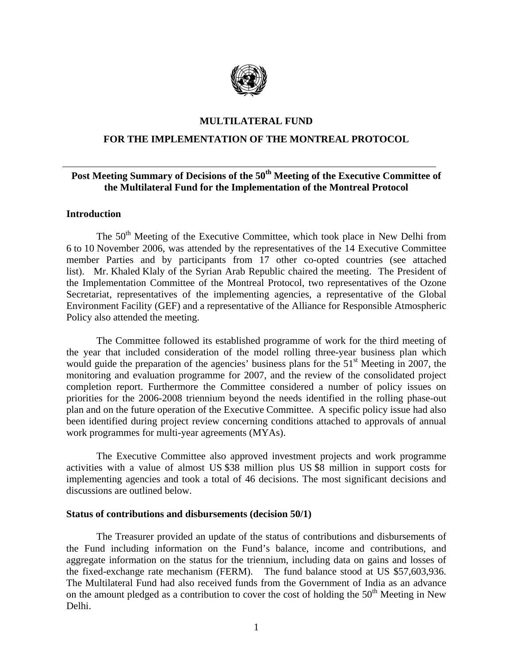

## **MULTILATERAL FUND**

## **FOR THE IMPLEMENTATION OF THE MONTREAL PROTOCOL**

# **Post Meeting Summary of Decisions of the 50th Meeting of the Executive Committee of the Multilateral Fund for the Implementation of the Montreal Protocol**

#### **Introduction**

The  $50<sup>th</sup>$  Meeting of the Executive Committee, which took place in New Delhi from 6 to 10 November 2006, was attended by the representatives of the 14 Executive Committee member Parties and by participants from 17 other co-opted countries (see attached list). Mr. Khaled Klaly of the Syrian Arab Republic chaired the meeting. The President of the Implementation Committee of the Montreal Protocol, two representatives of the Ozone Secretariat, representatives of the implementing agencies, a representative of the Global Environment Facility (GEF) and a representative of the Alliance for Responsible Atmospheric Policy also attended the meeting.

The Committee followed its established programme of work for the third meeting of the year that included consideration of the model rolling three-year business plan which would guide the preparation of the agencies' business plans for the  $51<sup>st</sup>$  Meeting in 2007, the monitoring and evaluation programme for 2007, and the review of the consolidated project completion report. Furthermore the Committee considered a number of policy issues on priorities for the 2006-2008 triennium beyond the needs identified in the rolling phase-out plan and on the future operation of the Executive Committee. A specific policy issue had also been identified during project review concerning conditions attached to approvals of annual work programmes for multi-year agreements (MYAs).

The Executive Committee also approved investment projects and work programme activities with a value of almost US \$38 million plus US \$8 million in support costs for implementing agencies and took a total of 46 decisions. The most significant decisions and discussions are outlined below.

#### **Status of contributions and disbursements (decision 50/1)**

The Treasurer provided an update of the status of contributions and disbursements of the Fund including information on the Fund's balance, income and contributions, and aggregate information on the status for the triennium, including data on gains and losses of the fixed-exchange rate mechanism (FERM). The fund balance stood at US \$57,603,936. The Multilateral Fund had also received funds from the Government of India as an advance on the amount pledged as a contribution to cover the cost of holding the  $50<sup>th</sup>$  Meeting in New Delhi.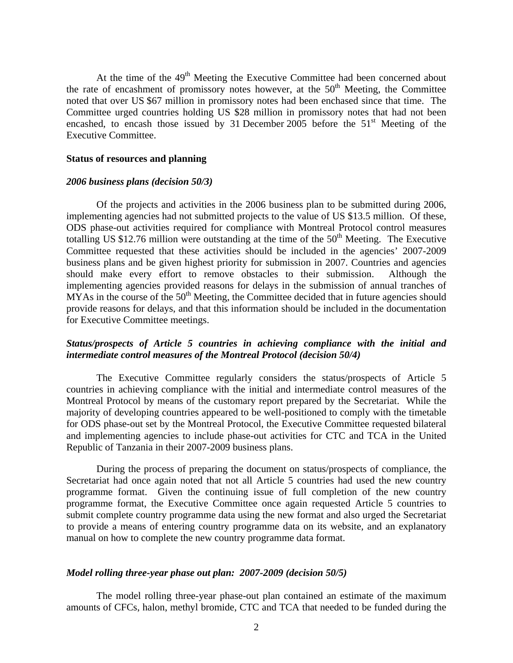At the time of the 49<sup>th</sup> Meeting the Executive Committee had been concerned about the rate of encashment of promissory notes however, at the  $50<sup>th</sup>$  Meeting, the Committee noted that over US \$67 million in promissory notes had been enchased since that time. The Committee urged countries holding US \$28 million in promissory notes that had not been encashed, to encash those issued by 31 December 2005 before the  $51<sup>st</sup>$  Meeting of the Executive Committee.

#### **Status of resources and planning**

#### *2006 business plans (decision 50/3)*

Of the projects and activities in the 2006 business plan to be submitted during 2006, implementing agencies had not submitted projects to the value of US \$13.5 million. Of these, ODS phase-out activities required for compliance with Montreal Protocol control measures totalling US \$12.76 million were outstanding at the time of the  $50<sup>th</sup>$  Meeting. The Executive Committee requested that these activities should be included in the agencies' 2007-2009 business plans and be given highest priority for submission in 2007. Countries and agencies should make every effort to remove obstacles to their submission. Although the implementing agencies provided reasons for delays in the submission of annual tranches of  $MYAs$  in the course of the  $50<sup>th</sup>$  Meeting, the Committee decided that in future agencies should provide reasons for delays, and that this information should be included in the documentation for Executive Committee meetings.

## *Status/prospects of Article 5 countries in achieving compliance with the initial and intermediate control measures of the Montreal Protocol (decision 50/4)*

The Executive Committee regularly considers the status/prospects of Article 5 countries in achieving compliance with the initial and intermediate control measures of the Montreal Protocol by means of the customary report prepared by the Secretariat. While the majority of developing countries appeared to be well-positioned to comply with the timetable for ODS phase-out set by the Montreal Protocol, the Executive Committee requested bilateral and implementing agencies to include phase-out activities for CTC and TCA in the United Republic of Tanzania in their 2007-2009 business plans.

During the process of preparing the document on status/prospects of compliance, the Secretariat had once again noted that not all Article 5 countries had used the new country programme format. Given the continuing issue of full completion of the new country programme format, the Executive Committee once again requested Article 5 countries to submit complete country programme data using the new format and also urged the Secretariat to provide a means of entering country programme data on its website, and an explanatory manual on how to complete the new country programme data format.

#### *Model rolling three-year phase out plan: 2007-2009 (decision 50/5)*

The model rolling three-year phase-out plan contained an estimate of the maximum amounts of CFCs, halon, methyl bromide, CTC and TCA that needed to be funded during the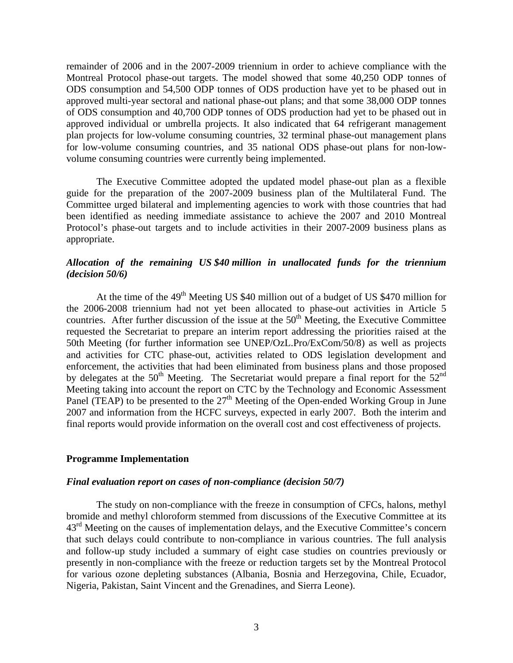remainder of 2006 and in the 2007-2009 triennium in order to achieve compliance with the Montreal Protocol phase-out targets. The model showed that some 40,250 ODP tonnes of ODS consumption and 54,500 ODP tonnes of ODS production have yet to be phased out in approved multi-year sectoral and national phase-out plans; and that some 38,000 ODP tonnes of ODS consumption and 40,700 ODP tonnes of ODS production had yet to be phased out in approved individual or umbrella projects. It also indicated that 64 refrigerant management plan projects for low-volume consuming countries, 32 terminal phase-out management plans for low-volume consuming countries, and 35 national ODS phase-out plans for non-lowvolume consuming countries were currently being implemented.

The Executive Committee adopted the updated model phase-out plan as a flexible guide for the preparation of the 2007-2009 business plan of the Multilateral Fund. The Committee urged bilateral and implementing agencies to work with those countries that had been identified as needing immediate assistance to achieve the 2007 and 2010 Montreal Protocol's phase-out targets and to include activities in their 2007-2009 business plans as appropriate.

# *Allocation of the remaining US \$40 million in unallocated funds for the triennium (decision 50/6)*

At the time of the 49<sup>th</sup> Meeting US \$40 million out of a budget of US \$470 million for the 2006-2008 triennium had not yet been allocated to phase-out activities in Article 5 countries. After further discussion of the issue at the  $50<sup>th</sup>$  Meeting, the Executive Committee requested the Secretariat to prepare an interim report addressing the priorities raised at the 50th Meeting (for further information see UNEP/OzL.Pro/ExCom/50/8) as well as projects and activities for CTC phase-out, activities related to ODS legislation development and enforcement, the activities that had been eliminated from business plans and those proposed by delegates at the  $50<sup>th</sup>$  Meeting. The Secretariat would prepare a final report for the  $52<sup>nd</sup>$ Meeting taking into account the report on CTC by the Technology and Economic Assessment Panel (TEAP) to be presented to the  $27<sup>th</sup>$  Meeting of the Open-ended Working Group in June 2007 and information from the HCFC surveys, expected in early 2007. Both the interim and final reports would provide information on the overall cost and cost effectiveness of projects.

## **Programme Implementation**

#### *Final evaluation report on cases of non-compliance (decision 50/7)*

The study on non-compliance with the freeze in consumption of CFCs, halons, methyl bromide and methyl chloroform stemmed from discussions of the Executive Committee at its 43<sup>rd</sup> Meeting on the causes of implementation delays, and the Executive Committee's concern that such delays could contribute to non-compliance in various countries. The full analysis and follow-up study included a summary of eight case studies on countries previously or presently in non-compliance with the freeze or reduction targets set by the Montreal Protocol for various ozone depleting substances (Albania, Bosnia and Herzegovina, Chile, Ecuador, Nigeria, Pakistan, Saint Vincent and the Grenadines, and Sierra Leone).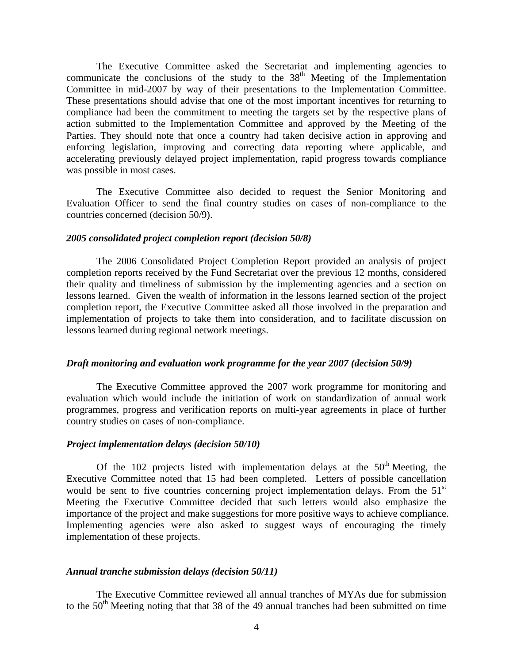The Executive Committee asked the Secretariat and implementing agencies to communicate the conclusions of the study to the  $38<sup>th</sup>$  Meeting of the Implementation Committee in mid-2007 by way of their presentations to the Implementation Committee. These presentations should advise that one of the most important incentives for returning to compliance had been the commitment to meeting the targets set by the respective plans of action submitted to the Implementation Committee and approved by the Meeting of the Parties. They should note that once a country had taken decisive action in approving and enforcing legislation, improving and correcting data reporting where applicable, and accelerating previously delayed project implementation, rapid progress towards compliance was possible in most cases.

The Executive Committee also decided to request the Senior Monitoring and Evaluation Officer to send the final country studies on cases of non-compliance to the countries concerned (decision 50/9).

## *2005 consolidated project completion report (decision 50/8)*

The 2006 Consolidated Project Completion Report provided an analysis of project completion reports received by the Fund Secretariat over the previous 12 months, considered their quality and timeliness of submission by the implementing agencies and a section on lessons learned. Given the wealth of information in the lessons learned section of the project completion report, the Executive Committee asked all those involved in the preparation and implementation of projects to take them into consideration, and to facilitate discussion on lessons learned during regional network meetings.

## *Draft monitoring and evaluation work programme for the year 2007 (decision 50/9)*

The Executive Committee approved the 2007 work programme for monitoring and evaluation which would include the initiation of work on standardization of annual work programmes, progress and verification reports on multi-year agreements in place of further country studies on cases of non-compliance.

#### *Project implementation delays (decision 50/10)*

Of the 102 projects listed with implementation delays at the  $50<sup>th</sup>$  Meeting, the Executive Committee noted that 15 had been completed. Letters of possible cancellation would be sent to five countries concerning project implementation delays. From the  $51<sup>st</sup>$ Meeting the Executive Committee decided that such letters would also emphasize the importance of the project and make suggestions for more positive ways to achieve compliance. Implementing agencies were also asked to suggest ways of encouraging the timely implementation of these projects.

## *Annual tranche submission delays (decision 50/11)*

The Executive Committee reviewed all annual tranches of MYAs due for submission to the  $50<sup>th</sup>$  Meeting noting that that 38 of the 49 annual tranches had been submitted on time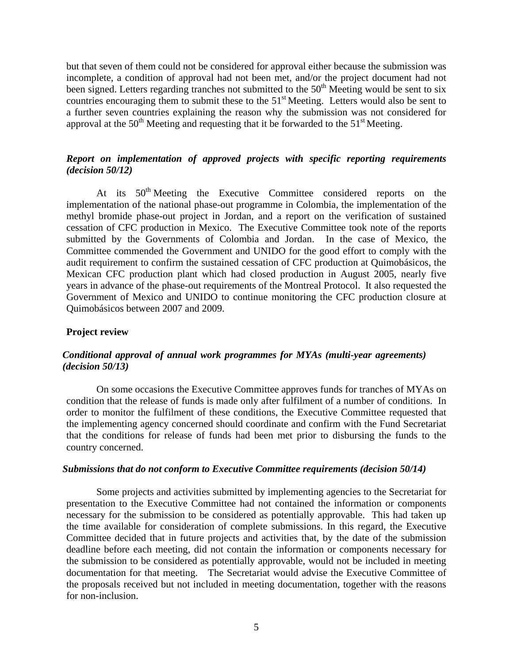but that seven of them could not be considered for approval either because the submission was incomplete, a condition of approval had not been met, and/or the project document had not been signed. Letters regarding tranches not submitted to the 50<sup>th</sup> Meeting would be sent to six countries encouraging them to submit these to the 51<sup>st</sup> Meeting. Letters would also be sent to a further seven countries explaining the reason why the submission was not considered for approval at the  $50<sup>th</sup>$  Meeting and requesting that it be forwarded to the  $51<sup>st</sup>$  Meeting.

# *Report on implementation of approved projects with specific reporting requirements (decision 50/12)*

At its 50<sup>th</sup> Meeting the Executive Committee considered reports on the implementation of the national phase-out programme in Colombia, the implementation of the methyl bromide phase-out project in Jordan, and a report on the verification of sustained cessation of CFC production in Mexico. The Executive Committee took note of the reports submitted by the Governments of Colombia and Jordan. In the case of Mexico, the Committee commended the Government and UNIDO for the good effort to comply with the audit requirement to confirm the sustained cessation of CFC production at Quimobásicos, the Mexican CFC production plant which had closed production in August 2005, nearly five years in advance of the phase-out requirements of the Montreal Protocol. It also requested the Government of Mexico and UNIDO to continue monitoring the CFC production closure at Quimobásicos between 2007 and 2009.

## **Project review**

# *Conditional approval of annual work programmes for MYAs (multi-year agreements) (decision 50/13)*

On some occasions the Executive Committee approves funds for tranches of MYAs on condition that the release of funds is made only after fulfilment of a number of conditions. In order to monitor the fulfilment of these conditions, the Executive Committee requested that the implementing agency concerned should coordinate and confirm with the Fund Secretariat that the conditions for release of funds had been met prior to disbursing the funds to the country concerned.

#### *Submissions that do not conform to Executive Committee requirements (decision 50/14)*

Some projects and activities submitted by implementing agencies to the Secretariat for presentation to the Executive Committee had not contained the information or components necessary for the submission to be considered as potentially approvable. This had taken up the time available for consideration of complete submissions. In this regard, the Executive Committee decided that in future projects and activities that, by the date of the submission deadline before each meeting, did not contain the information or components necessary for the submission to be considered as potentially approvable, would not be included in meeting documentation for that meeting. The Secretariat would advise the Executive Committee of the proposals received but not included in meeting documentation, together with the reasons for non-inclusion.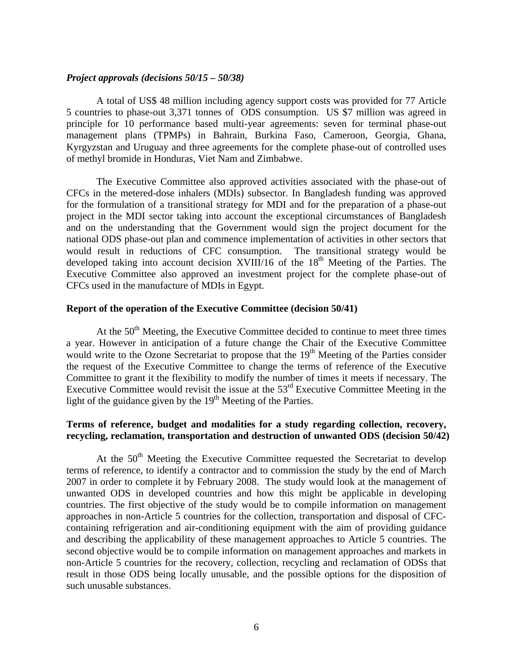#### *Project approvals (decisions 50/15 – 50/38)*

A total of US\$ 48 million including agency support costs was provided for 77 Article 5 countries to phase-out 3,371 tonnes of ODS consumption. US \$7 million was agreed in principle for 10 performance based multi-year agreements: seven for terminal phase-out management plans (TPMPs) in Bahrain, Burkina Faso, Cameroon, Georgia, Ghana, Kyrgyzstan and Uruguay and three agreements for the complete phase-out of controlled uses of methyl bromide in Honduras, Viet Nam and Zimbabwe.

The Executive Committee also approved activities associated with the phase-out of CFCs in the metered-dose inhalers (MDIs) subsector. In Bangladesh funding was approved for the formulation of a transitional strategy for MDI and for the preparation of a phase-out project in the MDI sector taking into account the exceptional circumstances of Bangladesh and on the understanding that the Government would sign the project document for the national ODS phase-out plan and commence implementation of activities in other sectors that would result in reductions of CFC consumption. The transitional strategy would be developed taking into account decision XVIII/16 of the  $18<sup>th</sup>$  Meeting of the Parties. The Executive Committee also approved an investment project for the complete phase-out of CFCs used in the manufacture of MDIs in Egypt.

# **Report of the operation of the Executive Committee (decision 50/41)**

At the  $50<sup>th</sup>$  Meeting, the Executive Committee decided to continue to meet three times a year. However in anticipation of a future change the Chair of the Executive Committee would write to the Ozone Secretariat to propose that the  $19<sup>th</sup>$  Meeting of the Parties consider the request of the Executive Committee to change the terms of reference of the Executive Committee to grant it the flexibility to modify the number of times it meets if necessary. The Executive Committee would revisit the issue at the  $53<sup>rd</sup>$  Executive Committee Meeting in the light of the guidance given by the  $19<sup>th</sup>$  Meeting of the Parties.

# **Terms of reference, budget and modalities for a study regarding collection, recovery, recycling, reclamation, transportation and destruction of unwanted ODS (decision 50/42)**

At the  $50<sup>th</sup>$  Meeting the Executive Committee requested the Secretariat to develop terms of reference, to identify a contractor and to commission the study by the end of March 2007 in order to complete it by February 2008. The study would look at the management of unwanted ODS in developed countries and how this might be applicable in developing countries. The first objective of the study would be to compile information on management approaches in non-Article 5 countries for the collection, transportation and disposal of CFCcontaining refrigeration and air-conditioning equipment with the aim of providing guidance and describing the applicability of these management approaches to Article 5 countries. The second objective would be to compile information on management approaches and markets in non-Article 5 countries for the recovery, collection, recycling and reclamation of ODSs that result in those ODS being locally unusable, and the possible options for the disposition of such unusable substances.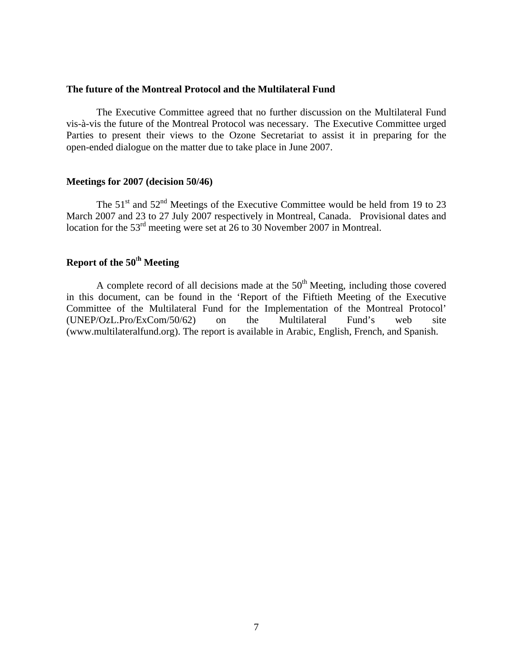## **The future of the Montreal Protocol and the Multilateral Fund**

The Executive Committee agreed that no further discussion on the Multilateral Fund vis-à-vis the future of the Montreal Protocol was necessary. The Executive Committee urged Parties to present their views to the Ozone Secretariat to assist it in preparing for the open-ended dialogue on the matter due to take place in June 2007.

#### **Meetings for 2007 (decision 50/46)**

The  $51<sup>st</sup>$  and  $52<sup>nd</sup>$  Meetings of the Executive Committee would be held from 19 to 23 March 2007 and 23 to 27 July 2007 respectively in Montreal, Canada. Provisional dates and location for the 53<sup>rd</sup> meeting were set at 26 to 30 November 2007 in Montreal.

# **Report of the 50**<sup>t</sup>**<sup>h</sup> Meeting**

A complete record of all decisions made at the  $50<sup>th</sup>$  Meeting, including those covered in this document, can be found in the 'Report of the Fiftieth Meeting of the Executive Committee of the Multilateral Fund for the Implementation of the Montreal Protocol' (UNEP/OzL.Pro/ExCom/50/62) on the Multilateral Fund's web site (www.multilateralfund.org). The report is available in Arabic, English, French, and Spanish.